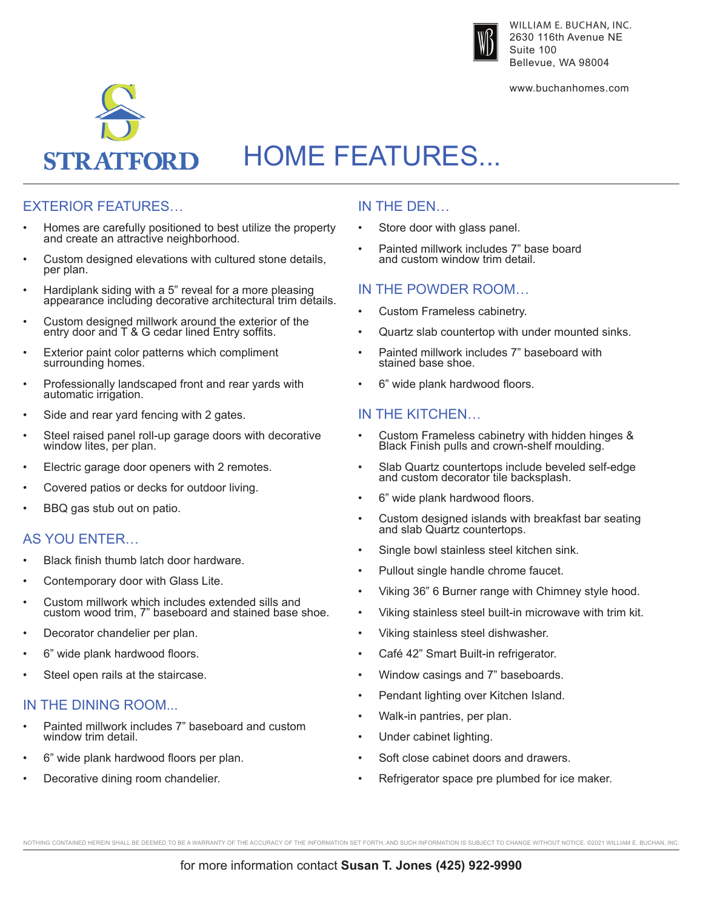

WILLIAM E. BUCHAN, INC. 2630 116th Avenue NE Suite 100 Bellevue, WA 98004

www.buchanhomes.com



# HOME FEATURES...

## EXTERIOR FEATURES…

- Homes are carefully positioned to best utilize the property and create an attractive neighborhood.
- Custom designed elevations with cultured stone details, per plan.
- Hardiplank siding with a 5" reveal for a more pleasing appearance including decorative architectural trim details.
- Custom designed millwork around the exterior of the entry door and T & G cedar lined Entry soffits.
- Exterior paint color patterns which compliment surrounding homes.
- Professionally landscaped front and rear yards with automatic irrigation.
- Side and rear yard fencing with 2 gates.
- Steel raised panel roll-up garage doors with decorative window lites, per plan.
- Electric garage door openers with 2 remotes.
- Covered patios or decks for outdoor living.
- BBQ gas stub out on patio.

## AS YOU ENTER…

- Black finish thumb latch door hardware.
- Contemporary door with Glass Lite.
- Custom millwork which includes extended sills and custom wood trim, 7" baseboard and stained base shoe.
- Decorator chandelier per plan.
- 6" wide plank hardwood floors.
- Steel open rails at the staircase.

### IN THE DINING ROOM...

- Painted millwork includes 7" baseboard and custom window trim detail.
- 6" wide plank hardwood floors per plan.
- Decorative dining room chandelier.

### IN THE DEN…

- Store door with glass panel.
- Painted millwork includes 7" base board and custom window trim detail.

#### IN THE POWDER ROOM…

- Custom Frameless cabinetry.
- Quartz slab countertop with under mounted sinks.
- Painted millwork includes 7" baseboard with stained base shoe.
- 6" wide plank hardwood floors.

#### IN THE KITCHEN…

- Custom Frameless cabinetry with hidden hinges & Black Finish pulls and crown-shelf moulding.
- Slab Quartz countertops include beveled self-edge and custom decorator tile backsplash.
- 6" wide plank hardwood floors.
- Custom designed islands with breakfast bar seating and slab Quartz countertops.
- Single bowl stainless steel kitchen sink.
- Pullout single handle chrome faucet.
- Viking 36" 6 Burner range with Chimney style hood.
- Viking stainless steel built-in microwave with trim kit.
- Viking stainless steel dishwasher.
- Café 42" Smart Built-in refrigerator.
- Window casings and 7" baseboards.
- Pendant lighting over Kitchen Island.
- Walk-in pantries, per plan.
- Under cabinet lighting.
- Soft close cabinet doors and drawers.
- Refrigerator space pre plumbed for ice maker.

NOTHING CONTAINED HEREIN SHALL BE DEEMED TO BE A WARRANTY OF THE ACCURACY OF THE INFORMATION SET FORTH, AND SUCH INFORMATION IS SUBJECT TO CHANGE WITHOUT NOTICE. @2021 WILLIAM E. BUCHAN, INC.